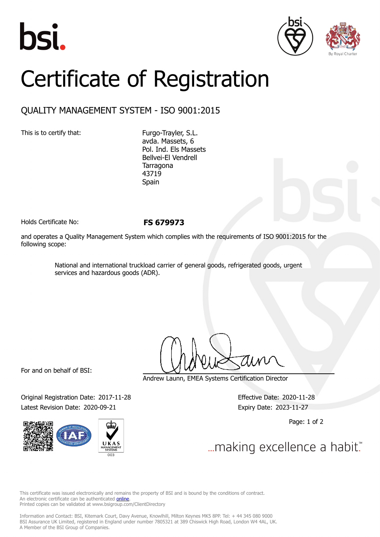





## Certificate of Registration

## QUALITY MANAGEMENT SYSTEM - ISO 9001:2015

This is to certify that: Furgo-Trayler, S.L.

avda. Massets, 6 Pol. Ind. Els Massets Bellvei-El Vendrell Tarragona 43719 Spain

Holds Certificate No: **FS 679973**

and operates a Quality Management System which complies with the requirements of ISO 9001:2015 for the following scope:

> National and international truckload carrier of general goods, refrigerated goods, urgent services and hazardous goods (ADR).

For and on behalf of BSI:

Original Registration Date: 2017-11-28 Effective Date: 2020-11-28 Latest Revision Date: 2020-09-21 Expiry Date: 2023-11-27



Andrew Launn, EMEA Systems Certification Director

Page: 1 of 2

... making excellence a habit."

This certificate was issued electronically and remains the property of BSI and is bound by the conditions of contract. An electronic certificate can be authenticated **[online](https://pgplus.bsigroup.com/CertificateValidation/CertificateValidator.aspx?CertificateNumber=FS+679973&ReIssueDate=21%2f09%2f2020&Template=cemea_en)**. Printed copies can be validated at www.bsigroup.com/ClientDirectory

Information and Contact: BSI, Kitemark Court, Davy Avenue, Knowlhill, Milton Keynes MK5 8PP. Tel: + 44 345 080 9000 BSI Assurance UK Limited, registered in England under number 7805321 at 389 Chiswick High Road, London W4 4AL, UK. A Member of the BSI Group of Companies.